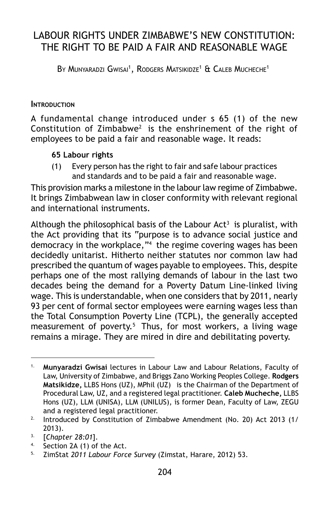# LABOUR RIGHTS UNDER ZIMBABWE'S NEW CONSTITUTION: THE RIGHT TO BE PAID A FAIR AND REASONABLE WAGE

By Munyaradzi Gwisai<sup>1</sup>, Rodgers Matsikidze<sup>1</sup> & Caleb Mucheche<sup>1</sup>

#### **INTRODUCTION**

A fundamental change introduced under s 65 (1) of the new Constitution of Zimbabwe2 is the enshrinement of the right of employees to be paid a fair and reasonable wage. It reads:

#### **65 Labour rights**

(1) Every person has the right to fair and safe labour practices and standards and to be paid a fair and reasonable wage.

This provision marks a milestone in the labour law regime of Zimbabwe. It brings Zimbabwean law in closer conformity with relevant regional and international instruments.

Although the philosophical basis of the Labour  $Act<sup>3</sup>$  is pluralist, with the Act providing that its "purpose is to advance social justice and democracy in the workplace,"<sup>4</sup> the regime covering wages has been decidedly unitarist. Hitherto neither statutes nor common law had prescribed the quantum of wages payable to employees. This, despite perhaps one of the most rallying demands of labour in the last two decades being the demand for a Poverty Datum Line-linked living wage. This is understandable, when one considers that by 2011, nearly 93 per cent of formal sector employees were earning wages less than the Total Consumption Poverty Line (TCPL), the generally accepted measurement of poverty.<sup>5</sup> Thus, for most workers, a living wage remains a mirage. They are mired in dire and debilitating poverty.

Section 2A (1) of the Act.

<sup>1.</sup> **Munyaradzi Gwisai** lectures in Labour Law and Labour Relations, Faculty of Law, University of Zimbabwe, and Briggs Zano Working Peoples College. **Rodgers Matsikidze,** LLBS Hons (UZ), MPhil (UZ) is the Chairman of the Department of Procedural Law, UZ, and a registered legal practitioner. **Caleb Mucheche,** LLBS Hons (UZ), LLM (UNISA), LLM (UNILUS), is former Dean, Faculty of Law, ZEGU and a registered legal practitioner.

<sup>&</sup>lt;sup>2.</sup> Introduced by Constitution of Zimbabwe Amendment (No. 20) Act 2013 (1/ 2013).

<sup>3.</sup> [*Chapter 28:01*].

<sup>5.</sup> ZimStat *2011 Labour Force Survey* (Zimstat, Harare, 2012) 53.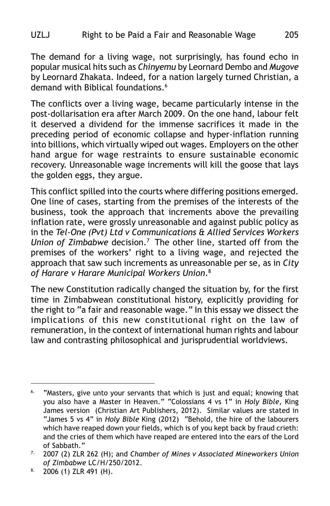The demand for a living wage, not surprisingly, has found echo in popular musical hits such as *Chinyemu* by Leornard Dembo and *Mugove* by Leornard Zhakata. Indeed, for a nation largely turned Christian, a demand with Biblical foundations.<sup>6</sup>

The conflicts over a living wage, became particularly intense in the post-dollarisation era after March 2009. On the one hand, labour felt it deserved a dividend for the immense sacrifices it made in the preceding period of economic collapse and hyper-inflation running into billions, which virtually wiped out wages. Employers on the other hand argue for wage restraints to ensure sustainable economic recovery. Unreasonable wage increments will kill the goose that lays the golden eggs, they argue.

This conflict spilled into the courts where differing positions emerged. One line of cases, starting from the premises of the interests of the business, took the approach that increments above the prevailing inflation rate, were grossly unreasonable and against public policy as in the *Tel-One (Pvt) Ltd v Communications & Allied Services Workers Union of Zimbabwe* decision.7 The other line, started off from the premises of the workers' right to a living wage, and rejected the approach that saw such increments as unreasonable per se, as in *City of Harare v Harare Municipal Workers Union*.8

The new Constitution radically changed the situation by, for the first time in Zimbabwean constitutional history, explicitly providing for the right to "a fair and reasonable wage." In this essay we dissect the implications of this new constitutional right on the law of remuneration, in the context of international human rights and labour law and contrasting philosophical and jurisprudential worldviews.

<sup>&</sup>lt;sup>6.</sup> "Masters, give unto your servants that which is just and equal; knowing that you also have a Master in Heaven." "Colossians 4 vs 1" in *Holy Bible,* King James version (Christian Art Publishers, 2012). Similar values are stated in "James 5 vs 4" in *Holy Bible* King (2012) "Behold, the hire of the labourers which have reaped down your fields, which is of you kept back by fraud crieth: and the cries of them which have reaped are entered into the ears of the Lord of Sabbath."

<sup>7.</sup> 2007 (2) ZLR 262 (H); and *Chamber of Mines v Associated Mineworkers Union of Zimbabwe* LC/H/250/2012.

 $8.$  2006 (1) ZLR 491 (H).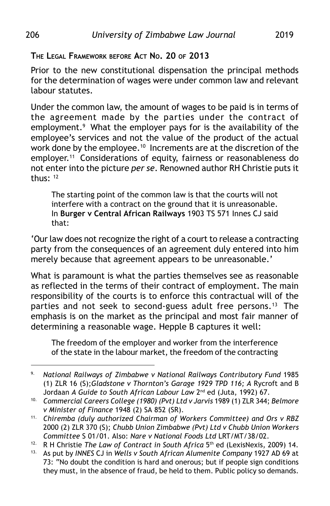# **THE LEGAL FRAMEWORK BEFORE ACT NO. 20 OF 2013**

Prior to the new constitutional dispensation the principal methods for the determination of wages were under common law and relevant labour statutes.

Under the common law, the amount of wages to be paid is in terms of the agreement made by the parties under the contract of employment.<sup>9</sup> What the employer pays for is the availability of the employee's services and not the value of the product of the actual work done by the employee.<sup>10</sup> Increments are at the discretion of the employer.<sup>11</sup> Considerations of equity, fairness or reasonableness do not enter into the picture *per se*. Renowned author RH Christie puts it thus:  $12$ 

The starting point of the common law is that the courts will not interfere with a contract on the ground that it is unreasonable. In **Burger v Central African Railways** 1903 TS 571 Innes CJ said that:

'Our law does not recognize the right of a court to release a contracting party from the consequences of an agreement duly entered into him merely because that agreement appears to be unreasonable.'

What is paramount is what the parties themselves see as reasonable as reflected in the terms of their contract of employment. The main responsibility of the courts is to enforce this contractual will of the parties and not seek to second-guess adult free persons.<sup>13</sup> The emphasis is on the market as the principal and most fair manner of determining a reasonable wage. Hepple B captures it well:

The freedom of the employer and worker from the interference of the state in the labour market, the freedom of the contracting

<sup>9.</sup> *National Railways of Zimbabwe v National Railways Contributory Fund* 1985 (1) ZLR 16 (S);*Gladstone v Thornton's Garage 1929 TPD 116; A* Rycroft and B Jordaan *A Guide to South African Labour Law* 2nd ed (Juta, 1992) 67.

<sup>10.</sup> *Commercial Careers College (1980) (Pvt) Ltd v Jarvis* 1989 (1) ZLR 344; *Belmore v Minister of Finance* 1948 (2) SA 852 (SR).

<sup>11.</sup> *Chiremba (duly authorized Chairman of Workers Committee) and Ors v RBZ* 2000 (2) ZLR 370 (S); *Chubb Union Zimbabwe (Pvt) Ltd v Chubb Union Workers Committee* S 01/01. Also: *Nare v National Foods Ltd* LRT/MT/38/02.

<sup>&</sup>lt;sup>12.</sup> R H Christie *The Law of Contract in South Africa*  $5<sup>th</sup>$  ed (LexisNexis, 2009) 14.<br><sup>13.</sup> As put by INNES C Lin Wells y South African Alumenite Company 1927 AD 69 at

<sup>13.</sup> As put by *INNES* CJ in *Wells v South African Alumenite Company* 1927 AD 69 at 73: "No doubt the condition is hard and onerous; but if people sign conditions they must, in the absence of fraud, be held to them. Public policy so demands.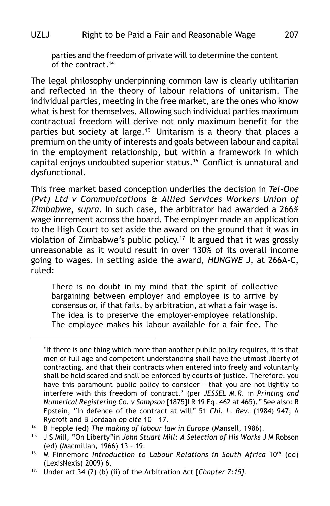parties and the freedom of private will to determine the content of the contract.14

The legal philosophy underpinning common law is clearly utilitarian and reflected in the theory of labour relations of unitarism. The individual parties, meeting in the free market, are the ones who know what is best for themselves. Allowing such individual parties maximum contractual freedom will derive not only maximum benefit for the parties but society at large.<sup>15</sup> Unitarism is a theory that places a premium on the unity of interests and goals between labour and capital in the employment relationship, but within a framework in which capital enjoys undoubted superior status.16 Conflict is unnatural and dysfunctional.

This free market based conception underlies the decision in *Tel-One (Pvt) Ltd v Communications & Allied Services Workers Union of Zimbabwe***,** *supra*. In such case, the arbitrator had awarded a 266% wage increment across the board. The employer made an application to the High Court to set aside the award on the ground that it was in violation of Zimbabwe's public policy.17 It argued that it was grossly unreasonable as it would result in over 130% of its overall income going to wages. In setting aside the award, *HUNGWE* J, at 266A-C, ruled:

There is no doubt in my mind that the spirit of collective bargaining between employer and employee is to arrive by consensus or, if that fails, by arbitration, at what a fair wage is. The idea is to preserve the employer-employee relationship. The employee makes his labour available for a fair fee. The

<sup>&#</sup>x27;If there is one thing which more than another public policy requires, it is that men of full age and competent understanding shall have the utmost liberty of contracting, and that their contracts when entered into freely and voluntarily shall be held scared and shall be enforced by courts of justice. Therefore, you have this paramount public policy to consider – that you are not lightly to interfere with this freedom of contract.' (per *JESSEL M.R*. in *Printing and Numerical Registering Co. v Sampson* [1875]LR 19 Eq. 462 at 465)." See also: R Epstein, "In defence of the contract at will" 51 *Chi. L. Rev*. (1984) 947; A Rycroft and B Jordaan *op cite* 10 – 17.

<sup>14.</sup> B Hepple (ed) *The making of labour law in Europe* (Mansell, 1986).

<sup>15.</sup> J S Mill, "On Liberty"in *John Stuart Mill: A Selection of His Works* J M Robson (ed) (Macmillan, 1966) 13 – 19.

<sup>&</sup>lt;sup>16.</sup> M Finnemore *Introduction to Labour Relations in South Africa* 10<sup>th</sup> (ed) (LexisNexis) 2009) 6.

<sup>17.</sup> Under art 34 (2) (b) (ii) of the Arbitration Act [*Chapter 7:15].*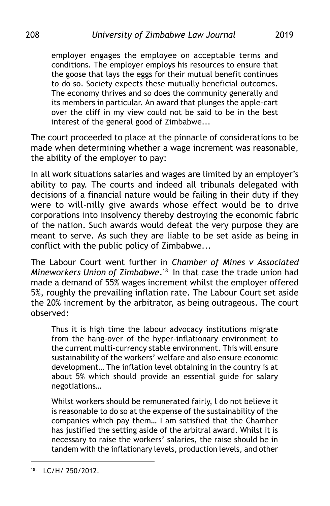employer engages the employee on acceptable terms and conditions. The employer employs his resources to ensure that the goose that lays the eggs for their mutual benefit continues to do so. Society expects these mutually beneficial outcomes. The economy thrives and so does the community generally and its members in particular. An award that plunges the apple-cart over the cliff in my view could not be said to be in the best interest of the general good of Zimbabwe...

The court proceeded to place at the pinnacle of considerations to be made when determining whether a wage increment was reasonable, the ability of the employer to pay:

In all work situations salaries and wages are limited by an employer's ability to pay. The courts and indeed all tribunals delegated with decisions of a financial nature would be failing in their duty if they were to will-nilly give awards whose effect would be to drive corporations into insolvency thereby destroying the economic fabric of the nation. Such awards would defeat the very purpose they are meant to serve. As such they are liable to be set aside as being in conflict with the public policy of Zimbabwe...

The Labour Court went further in *Chamber of Mines v Associated Mineworkers Union of Zimbabwe*.18 In that case the trade union had made a demand of 55% wages increment whilst the employer offered 5%, roughly the prevailing inflation rate. The Labour Court set aside the 20% increment by the arbitrator, as being outrageous. The court observed:

Thus it is high time the labour advocacy institutions migrate from the hang-over of the hyper-inflationary environment to the current multi-currency stable environment. This will ensure sustainability of the workers' welfare and also ensure economic development… The inflation level obtaining in the country is at about 5% which should provide an essential guide for salary negotiations…

Whilst workers should be remunerated fairly, l do not believe it is reasonable to do so at the expense of the sustainability of the companies which pay them… I am satisfied that the Chamber has justified the setting aside of the arbitral award. Whilst it is necessary to raise the workers' salaries, the raise should be in tandem with the inflationary levels, production levels, and other

<sup>18.</sup> LC/H/ 250/2012.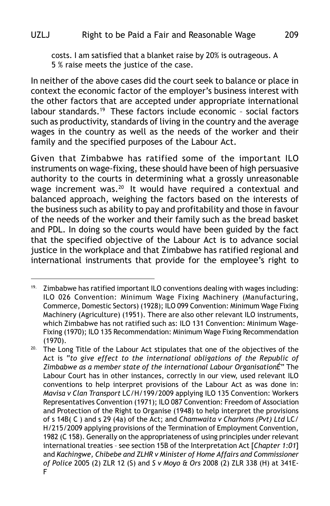costs. I am satisfied that a blanket raise by 20% is outrageous. A

5 % raise meets the justice of the case*.*

In neither of the above cases did the court seek to balance or place in context the economic factor of the employer's business interest with the other factors that are accepted under appropriate international labour standards.19 These factors include economic – social factors such as productivity, standards of living in the country and the average wages in the country as well as the needs of the worker and their family and the specified purposes of the Labour Act.

Given that Zimbabwe has ratified some of the important ILO instruments on wage-fixing, these should have been of high persuasive authority to the courts in determining what a grossly unreasonable wage increment was.<sup>20</sup> It would have required a contextual and balanced approach, weighing the factors based on the interests of the business such as ability to pay and profitability and those in favour of the needs of the worker and their family such as the bread basket and PDL. In doing so the courts would have been guided by the fact that the specified objective of the Labour Act is to advance social justice in the workplace and that Zimbabwe has ratified regional and international instruments that provide for the employee's right to

<sup>&</sup>lt;sup>19.</sup> Zimbabwe has ratified important ILO conventions dealing with wages including: ILO 026 Convention: Minimum Wage Fixing Machinery (Manufacturing, Commerce, Domestic Sectors) (1928); ILO 099 Convention: Minimum Wage Fixing Machinery (Agriculture) (1951). There are also other relevant ILO instruments, which Zimbabwe has not ratified such as: ILO 131 Convention: Minimum Wage-Fixing (1970); ILO 135 Recommendation: Minimum Wage Fixing Recommendation (1970).

 $20.$  The Long Title of the Labour Act stipulates that one of the objectives of the Act is "*to give effect to the international obligations of the Republic of Zimbabwe as a member state of the international Labour OrganisationÉ*" The Labour Court has in other instances, correctly in our view, used relevant ILO conventions to help interpret provisions of the Labour Act as was done in: *Mavisa v Clan Transport* LC/H/199/2009 applying ILO 135 Convention: Workers Representatives Convention (1971); ILO 087 Convention: Freedom of Association and Protection of the Right to Organise (1948) to help interpret the provisions of s 14B( C ) and s 29 (4a) of the Act; and *Chamwaita v Charhons (Pvt) Ltd* LC/ H/215/2009 applying provisions of the Termination of Employment Convention, 1982 (C 158). Generally on the appropriateness of using principles under relevant international treaties – see section 15B of the Interpretation Act [*Chapter 1:01*] and *Kachingwe, Chibebe and ZLHR v Minister of Home Affairs and Commissioner of Police* 2005 (2) ZLR 12 (S) and *S v Moyo & Ors* 2008 (2) ZLR 338 (H) at 341E-F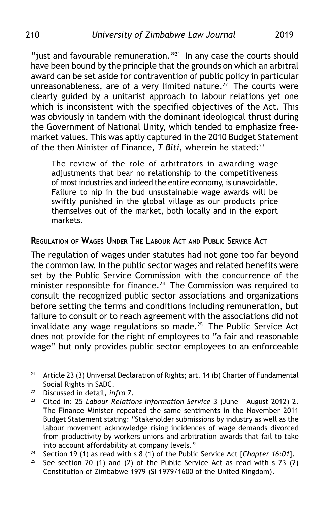"just and favourable remuneration." $^{21}$  In any case the courts should have been bound by the principle that the grounds on which an arbitral award can be set aside for contravention of public policy in particular unreasonableness, are of a very limited nature.<sup>22</sup> The courts were clearly guided by a unitarist approach to labour relations yet one which is inconsistent with the specified objectives of the Act. This was obviously in tandem with the dominant ideological thrust during the Government of National Unity, which tended to emphasize freemarket values. This was aptly captured in the 2010 Budget Statement of the then Minister of Finance, *T Biti*, wherein he stated:23

The review of the role of arbitrators in awarding wage adjustments that bear no relationship to the competitiveness of most industries and indeed the entire economy, is unavoidable. Failure to nip in the bud unsustainable wage awards will be swiftly punished in the global village as our products price themselves out of the market, both locally and in the export markets.

## **REGULATION OF WAGES UNDER THE LABOUR ACT AND PUBLIC SERVICE ACT**

The regulation of wages under statutes had not gone too far beyond the common law. In the public sector wages and related benefits were set by the Public Service Commission with the concurrence of the minister responsible for finance.<sup>24</sup> The Commission was required to consult the recognized public sector associations and organizations before setting the terms and conditions including remuneration, but failure to consult or to reach agreement with the associations did not invalidate any wage regulations so made.25 The Public Service Act does not provide for the right of employees to "a fair and reasonable wage" but only provides public sector employees to an enforceable

<sup>21.</sup> Article 23 (3) Universal Declaration of Rights; art. 14 (b) Charter of Fundamental Social Rights in SADC.

<sup>22.</sup> Discussed in detail, *infra* 7.

<sup>23.</sup> Cited in: 25 *Labour Relations Information Service* 3 (June – August 2012) 2. The Finance Minister repeated the same sentiments in the November 2011 Budget Statement stating: "Stakeholder submissions by industry as well as the labour movement acknowledge rising incidences of wage demands divorced from productivity by workers unions and arbitration awards that fail to take into account affordability at company levels."

<sup>24.</sup> Section 19 (1) as read with s 8 (1) of the Public Service Act [*Chapter 16:01*].

<sup>&</sup>lt;sup>25.</sup> See section 20 (1) and (2) of the Public Service Act as read with s 73 (2) Constitution of Zimbabwe 1979 (SI 1979/1600 of the United Kingdom).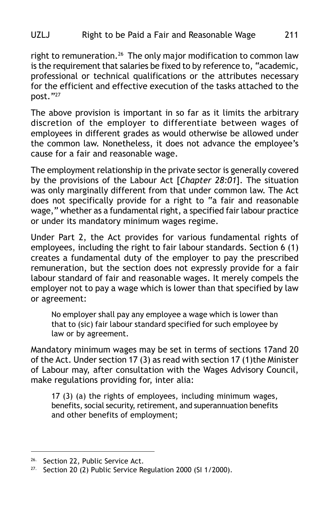right to remuneration.<sup>26</sup> The only major modification to common law is the requirement that salaries be fixed to by reference to, "academic, professional or technical qualifications or the attributes necessary for the efficient and effective execution of the tasks attached to the post."27

The above provision is important in so far as it limits the arbitrary discretion of the employer to differentiate between wages of employees in different grades as would otherwise be allowed under the common law. Nonetheless, it does not advance the employee's cause for a fair and reasonable wage.

The employment relationship in the private sector is generally covered by the provisions of the Labour Act [*Chapter 28:01*]. The situation was only marginally different from that under common law. The Act does not specifically provide for a right to "a fair and reasonable wage," whether as a fundamental right, a specified fair labour practice or under its mandatory minimum wages regime.

Under Part 2, the Act provides for various fundamental rights of employees, including the right to fair labour standards. Section 6 (1) creates a fundamental duty of the employer to pay the prescribed remuneration, but the section does not expressly provide for a fair labour standard of fair and reasonable wages. It merely compels the employer not to pay a wage which is lower than that specified by law or agreement:

No employer shall pay any employee a wage which is lower than that to (sic) fair labour standard specified for such employee by law or by agreement.

Mandatory minimum wages may be set in terms of sections 17and 20 of the Act. Under section 17 (3) as read with section 17 (1)the Minister of Labour may, after consultation with the Wages Advisory Council, make regulations providing for, inter alia:

17 (3) (a) the rights of employees, including minimum wages, benefits, social security, retirement, and superannuation benefits and other benefits of employment;

<sup>&</sup>lt;sup>26.</sup> Section 22, Public Service Act.

<sup>&</sup>lt;sup>27.</sup> Section 20 (2) Public Service Regulation 2000 (SI 1/2000).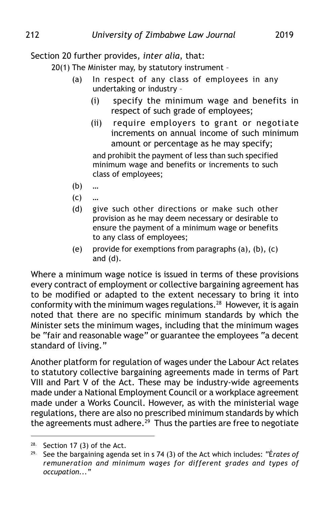### Section 20 further provides*, inter alia*, that:

20(1) The Minister may, by statutory instrument –

- (a) In respect of any class of employees in any undertaking or industry –
	- (i) specify the minimum wage and benefits in respect of such grade of employees;
	- (ii) require employers to grant or negotiate increments on annual income of such minimum amount or percentage as he may specify;

and prohibit the payment of less than such specified minimum wage and benefits or increments to such class of employees;

- (b) …
- $(C)$  ...
- (d) give such other directions or make such other provision as he may deem necessary or desirable to ensure the payment of a minimum wage or benefits to any class of employees;
- (e) provide for exemptions from paragraphs (a), (b), (c) and (d).

Where a minimum wage notice is issued in terms of these provisions every contract of employment or collective bargaining agreement has to be modified or adapted to the extent necessary to bring it into conformity with the minimum wages regulations.<sup>28</sup> However, it is again noted that there are no specific minimum standards by which the Minister sets the minimum wages, including that the minimum wages be "fair and reasonable wage" or guarantee the employees "a decent standard of living."

Another platform for regulation of wages under the Labour Act relates to statutory collective bargaining agreements made in terms of Part VIII and Part V of the Act. These may be industry-wide agreements made under a National Employment Council or a workplace agreement made under a Works Council. However, as with the ministerial wage regulations, there are also no prescribed minimum standards by which the agreements must adhere.<sup>29</sup> Thus the parties are free to negotiate

 $28.$  Section 17 (3) of the Act.

<sup>29.</sup> See the bargaining agenda set in s 74 (3) of the Act which includes: "É*rates of remuneration and minimum wages for different grades and types of occupation..."*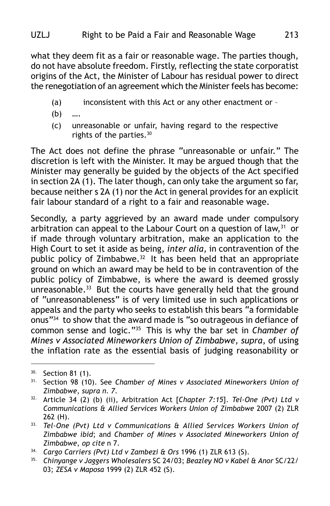what they deem fit as a fair or reasonable wage. The parties though, do not have absolute freedom. Firstly, reflecting the state corporatist origins of the Act, the Minister of Labour has residual power to direct the renegotiation of an agreement which the Minister feels has become:

- (a) inconsistent with this Act or any other enactment or –
- $(b)$
- (c) unreasonable or unfair, having regard to the respective rights of the parties.30

The Act does not define the phrase "unreasonable or unfair." The discretion is left with the Minister. It may be argued though that the Minister may generally be guided by the objects of the Act specified in section 2A (1). The later though, can only take the argument so far, because neither s 2A (1) nor the Act in general provides for an explicit fair labour standard of a right to a fair and reasonable wage.

Secondly, a party aggrieved by an award made under compulsory arbitration can appeal to the Labour Court on a question of law,<sup>31</sup> or if made through voluntary arbitration, make an application to the High Court to set it aside as being, *inter alia*, in contravention of the public policy of Zimbabwe.<sup>32</sup> It has been held that an appropriate ground on which an award may be held to be in contravention of the public policy of Zimbabwe, is where the award is deemed grossly unreasonable.<sup>33</sup> But the courts have generally held that the ground of "unreasonableness" is of very limited use in such applications or appeals and the party who seeks to establish this bears "a formidable onus"34 to show that the award made is "so outrageous in defiance of common sense and logic."35 This is why the bar set in *Chamber of Mines v Associated Mineworkers Union of Zimbabwe*, *supra*, of using the inflation rate as the essential basis of judging reasonability or

<sup>30.</sup> Section 81 (1).

<sup>31.</sup> Section 98 (10). See *Chamber of Mines v Associated Mineworkers Union of Zimbabwe*, *supra n. 7.*

<sup>32.</sup> Article 34 (2) (b) (ii), Arbitration Act [*Chapter 7:15*]. *Tel-One (Pvt) Ltd v Communications & Allied Services Workers Union of Zimbabwe* 2007 (2) ZLR 262 (H).

<sup>33.</sup> *Tel-One (Pvt) Ltd v Communications & Allied Services Workers Union of Zimbabwe ibid*; and *Chamber of Mines v Associated Mineworkers Union of Zimbabwe*, *op cite* n 7.

<sup>&</sup>lt;sup>34.</sup> *Cargo Carriers (Pvt) Ltd v Zambezi & Ors* 1996 (1) ZLR 613 (S).<br><sup>35.</sup> Chinyange v Jaggers Wholesalers SC 24/03: Beazley NO v Kabel

<sup>35.</sup> *Chinyange v Jaggers Wholesalers* SC 24/03; *Beazley NO v Kabel & Anor* SC/22/ 03; *ZESA v Maposa* 1999 (2) ZLR 452 (S).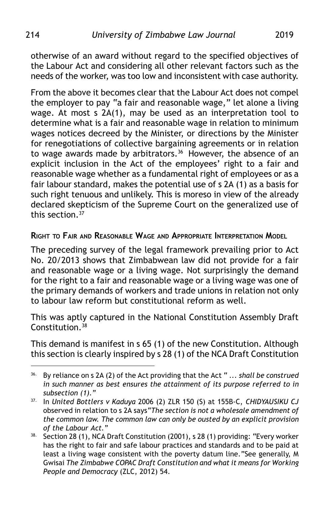otherwise of an award without regard to the specified objectives of the Labour Act and considering all other relevant factors such as the needs of the worker, was too low and inconsistent with case authority.

From the above it becomes clear that the Labour Act does not compel the employer to pay "a fair and reasonable wage," let alone a living wage. At most s 2A(1), may be used as an interpretation tool to determine what is a fair and reasonable wage in relation to minimum wages notices decreed by the Minister, or directions by the Minister for renegotiations of collective bargaining agreements or in relation to wage awards made by arbitrators.<sup>36</sup> However, the absence of an explicit inclusion in the Act of the employees' right to a fair and reasonable wage whether as a fundamental right of employees or as a fair labour standard, makes the potential use of s 2A (1) as a basis for such right tenuous and unlikely. This is moreso in view of the already declared skepticism of the Supreme Court on the generalized use of this section.37

#### **RIGHT TO FAIR AND REASONABLE WAGE AND APPROPRIATE INTERPRETATION MODEL**

The preceding survey of the legal framework prevailing prior to Act No. 20/2013 shows that Zimbabwean law did not provide for a fair and reasonable wage or a living wage. Not surprisingly the demand for the right to a fair and reasonable wage or a living wage was one of the primary demands of workers and trade unions in relation not only to labour law reform but constitutional reform as well.

This was aptly captured in the National Constitution Assembly Draft Constitution.<sup>38</sup>

This demand is manifest in s 65 (1) of the new Constitution. Although this section is clearly inspired by s 28 (1) of the NCA Draft Constitution

<sup>36.</sup> By reliance on s 2A (2) of the Act providing that the Act " .*.. shall be construed in such manner as best ensures the attainment of its purpose referred to in subsection (1)."*

<sup>37.</sup> In *United Bottlers v Kaduya* 2006 (2) ZLR 150 (S) at 155B-C, *CHIDYAUSIKU CJ* observed in relation to s 2A says*"The section is not a wholesale amendment of the common law. The common law can only be ousted by an explicit provision of the Labour Act."*

<sup>&</sup>lt;sup>38.</sup> Section 28 (1), NCA Draft Constitution (2001), s 28 (1) providing: "Every worker has the right to fair and safe labour practices and standards and to be paid at least a living wage consistent with the poverty datum line."See generally, M Gwisai *The Zimbabwe COPAC Draft Constitution and what it means for Working People and Democracy* (ZLC, 2012) 54.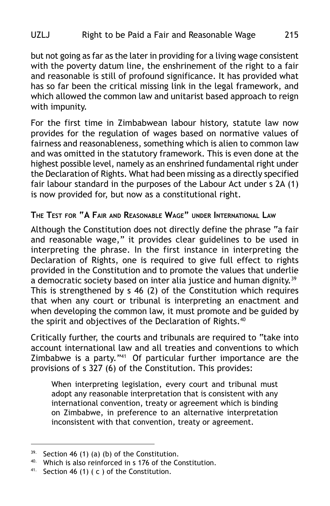but not going as far as the later in providing for a living wage consistent with the poverty datum line, the enshrinement of the right to a fair and reasonable is still of profound significance. It has provided what has so far been the critical missing link in the legal framework, and which allowed the common law and unitarist based approach to reign with impunity.

For the first time in Zimbabwean labour history, statute law now provides for the regulation of wages based on normative values of fairness and reasonableness, something which is alien to common law and was omitted in the statutory framework. This is even done at the highest possible level, namely as an enshrined fundamental right under the Declaration of Rights. What had been missing as a directly specified fair labour standard in the purposes of the Labour Act under s 2A (1) is now provided for, but now as a constitutional right.

#### **THE TEST FOR "A FAIR AND REASONABLE WAGE" UNDER INTERNATIONAL LAW**

Although the Constitution does not directly define the phrase "a fair and reasonable wage," it provides clear guidelines to be used in interpreting the phrase. In the first instance in interpreting the Declaration of Rights, one is required to give full effect to rights provided in the Constitution and to promote the values that underlie a democratic society based on inter alia justice and human dignity.<sup>39</sup> This is strengthened by s 46 (2) of the Constitution which requires that when any court or tribunal is interpreting an enactment and when developing the common law, it must promote and be guided by the spirit and objectives of the Declaration of Rights.<sup>40</sup>

Critically further, the courts and tribunals are required to "take into account international law and all treaties and conventions to which Zimbabwe is a party."41 Of particular further importance are the provisions of s 327 (6) of the Constitution. This provides:

When interpreting legislation, every court and tribunal must adopt any reasonable interpretation that is consistent with any international convention, treaty or agreement which is binding on Zimbabwe, in preference to an alternative interpretation inconsistent with that convention, treaty or agreement.

 $39.$  Section 46 (1) (a) (b) of the Constitution.

 $40.$  Which is also reinforced in s 176 of the Constitution.

 $41.$  Section 46 (1) ( c ) of the Constitution.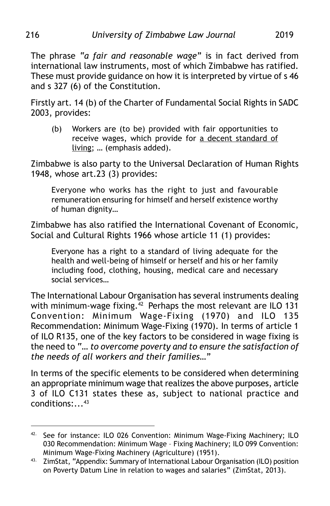The phrase *"a fair and reasonable wage"* is in fact derived from international law instruments, most of which Zimbabwe has ratified. These must provide guidance on how it is interpreted by virtue of s 46 and s 327 (6) of the Constitution.

Firstly art. 14 (b) of the Charter of Fundamental Social Rights in SADC 2003, provides:

(b) Workers are (to be) provided with fair opportunities to receive wages, which provide for a decent standard of living; … (emphasis added).

Zimbabwe is also party to the Universal Declaration of Human Rights 1948, whose art.23 (3) provides:

Everyone who works has the right to just and favourable remuneration ensuring for himself and herself existence worthy of human dignity…

Zimbabwe has also ratified the International Covenant of Economic, Social and Cultural Rights 1966 whose article 11 (1) provides:

Everyone has a right to a standard of living adequate for the health and well-being of himself or herself and his or her family including food, clothing, housing, medical care and necessary social services…

The International Labour Organisation has several instruments dealing with minimum-wage fixing.<sup>42</sup> Perhaps the most relevant are ILO 131 Convention: Minimum Wage-Fixing (1970) and ILO 135 Recommendation: Minimum Wage-Fixing (1970). In terms of article 1 of ILO R135, one of the key factors to be considered in wage fixing is the need to "… *to overcome poverty and to ensure the satisfaction of the needs of all workers and their families…"*

In terms of the specific elements to be considered when determining an appropriate minimum wage that realizes the above purposes, article 3 of ILO C131 states these as, subject to national practice and conditions:...43

<sup>42.</sup> See for instance: ILO 026 Convention: Minimum Wage-Fixing Machinery; ILO 030 Recommendation: Minimum Wage – Fixing Machinery; ILO 099 Convention: Minimum Wage-Fixing Machinery (Agriculture) (1951).

<sup>43.</sup> ZimStat, "Appendix: Summary of International Labour Organisation (ILO) position on Poverty Datum Line in relation to wages and salaries" (ZimStat, 2013).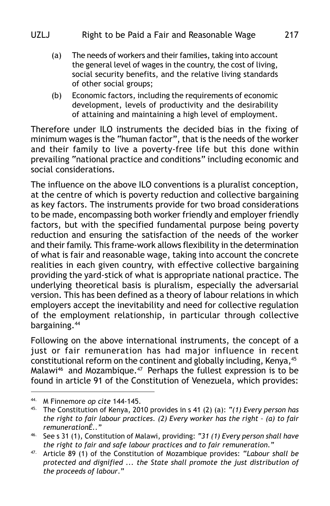- (a) The needs of workers and their families, taking into account the general level of wages in the country, the cost of living, social security benefits, and the relative living standards of other social groups;
- (b) Economic factors, including the requirements of economic development, levels of productivity and the desirability of attaining and maintaining a high level of employment.

Therefore under ILO instruments the decided bias in the fixing of minimum wages is the "human factor", that is the needs of the worker and their family to live a poverty-free life but this done within prevailing "national practice and conditions" including economic and social considerations.

The influence on the above ILO conventions is a pluralist conception, at the centre of which is poverty reduction and collective bargaining as key factors. The instruments provide for two broad considerations to be made, encompassing both worker friendly and employer friendly factors, but with the specified fundamental purpose being poverty reduction and ensuring the satisfaction of the needs of the worker and their family. This frame-work allows flexibility in the determination of what is fair and reasonable wage, taking into account the concrete realities in each given country, with effective collective bargaining providing the yard-stick of what is appropriate national practice. The underlying theoretical basis is pluralism, especially the adversarial version. This has been defined as a theory of labour relations in which employers accept the inevitability and need for collective regulation of the employment relationship, in particular through collective bargaining.44

Following on the above international instruments, the concept of a just or fair remuneration has had major influence in recent constitutional reform on the continent and globally including, Kenya,<sup>45</sup> Malawi<sup>46</sup> and Mozambique.<sup>47</sup> Perhaps the fullest expression is to be found in article 91 of the Constitution of Venezuela, which provides:

<sup>&</sup>lt;sup>44.</sup> M Finnemore *op cite* 144-145.

<sup>45.</sup> The Constitution of Kenya, 2010 provides in s 41 (2) (a): *"(1) Every person has the right to fair labour practices. (2) Every worker has the right – (a) to fair remunerationÉ.."*

<sup>46.</sup> See s 31 (1), Constitution of Malawi, providing: *"31 (1) Every person shall have the right to fair and safe labour practices and to fair remuneration."*

<sup>47.</sup> Article 89 (1) of the Constitution of Mozambique provides: "*Labour shall be protected and dignified ... the State shall promote the just distribution of the proceeds of labour*."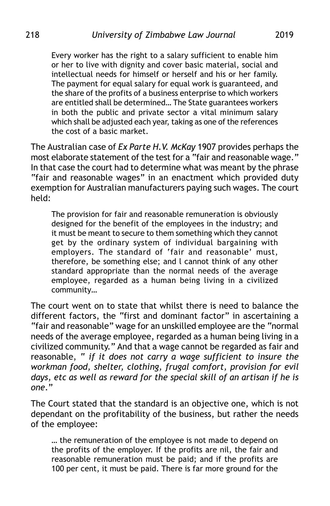Every worker has the right to a salary sufficient to enable him or her to live with dignity and cover basic material, social and intellectual needs for himself or herself and his or her family. The payment for equal salary for equal work is guaranteed, and the share of the profits of a business enterprise to which workers are entitled shall be determined… The State guarantees workers in both the public and private sector a vital minimum salary which shall be adjusted each year, taking as one of the references the cost of a basic market.

The Australian case of *Ex Parte H.V. McKay* 1907 provides perhaps the most elaborate statement of the test for a "fair and reasonable wage." In that case the court had to determine what was meant by the phrase "fair and reasonable wages" in an enactment which provided duty exemption for Australian manufacturers paying such wages. The court held:

The provision for fair and reasonable remuneration is obviously designed for the benefit of the employees in the industry; and it must be meant to secure to them something which they cannot get by the ordinary system of individual bargaining with employers. The standard of 'fair and reasonable' must, therefore, be something else; and l cannot think of any other standard appropriate than the normal needs of the average employee, regarded as a human being living in a civilized community…

The court went on to state that whilst there is need to balance the different factors, the "first and dominant factor" in ascertaining a "fair and reasonable" wage for an unskilled employee are the "normal needs of the average employee, regarded as a human being living in a civilized community." And that a wage cannot be regarded as fair and reasonable, " *if it does not carry a wage sufficient to insure the workman food, shelter, clothing, frugal comfort, provision for evil days, etc as well as reward for the special skill of an artisan if he is one*."

The Court stated that the standard is an objective one, which is not dependant on the profitability of the business, but rather the needs of the employee:

… the remuneration of the employee is not made to depend on the profits of the employer. If the profits are nil, the fair and reasonable remuneration must be paid; and if the profits are 100 per cent, it must be paid. There is far more ground for the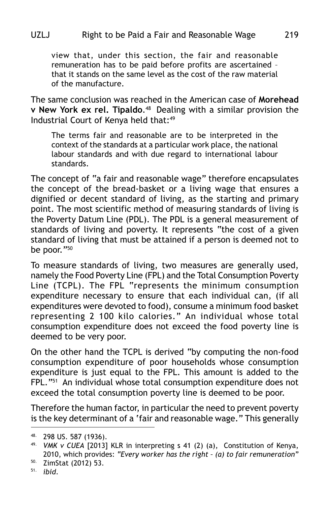view that, under this section, the fair and reasonable remuneration has to be paid before profits are ascertained – that it stands on the same level as the cost of the raw material of the manufacture.

The same conclusion was reached in the American case of **Morehead v New York ex rel. Tipaldo.**<sup>48</sup> Dealing with a similar provision the Industrial Court of Kenya held that:<sup>49</sup>

The terms fair and reasonable are to be interpreted in the context of the standards at a particular work place, the national labour standards and with due regard to international labour standards.

The concept of "a fair and reasonable wage" therefore encapsulates the concept of the bread-basket or a living wage that ensures a dignified or decent standard of living, as the starting and primary point. The most scientific method of measuring standards of living is the Poverty Datum Line (PDL). The PDL is a general measurement of standards of living and poverty. It represents "the cost of a given standard of living that must be attained if a person is deemed not to be poor."50

To measure standards of living, two measures are generally used, namely the Food Poverty Line (FPL) and the Total Consumption Poverty Line (TCPL). The FPL "represents the minimum consumption expenditure necessary to ensure that each individual can, (if all expenditures were devoted to food), consume a minimum food basket representing 2 100 kilo calories." An individual whose total consumption expenditure does not exceed the food poverty line is deemed to be very poor.

On the other hand the TCPL is derived "by computing the non-food consumption expenditure of poor households whose consumption expenditure is just equal to the FPL. This amount is added to the FPL."51 An individual whose total consumption expenditure does not exceed the total consumption poverty line is deemed to be poor.

Therefore the human factor, in particular the need to prevent poverty is the key determinant of a 'fair and reasonable wage." This generally

<sup>48.</sup> 298 US. 587 (1936).

<sup>49.</sup> *VMK v CUEA* [2013] KLR in interpreting s 41 (2) (a), Constitution of Kenya, 2010, which provides: *"Every worker has the right – (a) to fair remuneration"*

<sup>50.</sup> ZimStat (2012) 53.

<sup>51.</sup> *ibid*.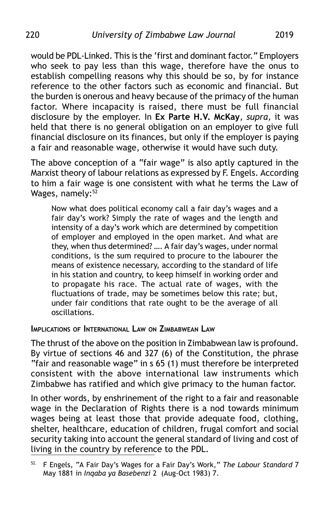would be PDL-Linked. This is the 'first and dominant factor." Employers who seek to pay less than this wage, therefore have the onus to establish compelling reasons why this should be so, by for instance reference to the other factors such as economic and financial. But the burden is onerous and heavy because of the primacy of the human factor. Where incapacity is raised, there must be full financial disclosure by the employer. In **Ex Parte H.V. McKay**, *supra,* it was held that there is no general obligation on an employer to give full financial disclosure on its finances, but only if the employer is paying a fair and reasonable wage, otherwise it would have such duty.

The above conception of a "fair wage" is also aptly captured in the Marxist theory of labour relations as expressed by F. Engels. According to him a fair wage is one consistent with what he terms the Law of Wages, namely:<sup>52</sup>

Now what does political economy call a fair day's wages and a fair day's work? Simply the rate of wages and the length and intensity of a day's work which are determined by competition of employer and employed in the open market. And what are they, when thus determined? …. A fair day's wages, under normal conditions, is the sum required to procure to the labourer the means of existence necessary, according to the standard of life in his station and country, to keep himself in working order and to propagate his race. The actual rate of wages, with the fluctuations of trade, may be sometimes below this rate; but, under fair conditions that rate ought to be the average of all oscillations.

**IMPLICATIONS OF INTERNATIONAL LAW ON ZIMBABWEAN LAW**

The thrust of the above on the position in Zimbabwean law is profound. By virtue of sections 46 and 327 (6) of the Constitution, the phrase "fair and reasonable wage" in s 65 (1) must therefore be interpreted consistent with the above international law instruments which Zimbabwe has ratified and which give primacy to the human factor.

In other words, by enshrinement of the right to a fair and reasonable wage in the Declaration of Rights there is a nod towards minimum wages being at least those that provide adequate food, clothing, shelter, healthcare, education of children, frugal comfort and social security taking into account the general standard of living and cost of living in the country by reference to the PDL.

<sup>52.</sup> F Engels, "A Fair Day's Wages for a Fair Day's Work," *The Labour Standard* 7 May 1881 in *Inqaba ya Basebenzi* 2 (Aug-Oct 1983) 7.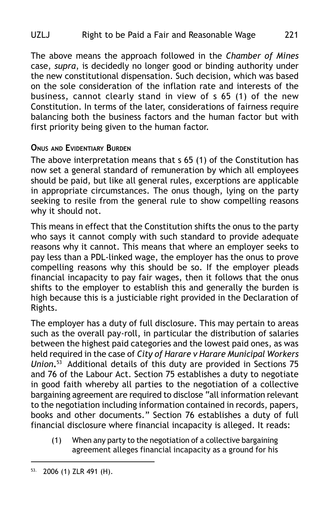The above means the approach followed in the *Chamber of Mines* case, *supra*, is decidedly no longer good or binding authority under the new constitutional dispensation. Such decision, which was based on the sole consideration of the inflation rate and interests of the business, cannot clearly stand in view of s 65 (1) of the new Constitution. In terms of the later, considerations of fairness require balancing both the business factors and the human factor but with first priority being given to the human factor.

# **ONUS AND EVIDENTIARY BURDEN**

The above interpretation means that s 65 (1) of the Constitution has now set a general standard of remuneration by which all employees should be paid, but like all general rules, excerptions are applicable in appropriate circumstances. The onus though, lying on the party seeking to resile from the general rule to show compelling reasons why it should not.

This means in effect that the Constitution shifts the onus to the party who says it cannot comply with such standard to provide adequate reasons why it cannot. This means that where an employer seeks to pay less than a PDL-linked wage, the employer has the onus to prove compelling reasons why this should be so. If the employer pleads financial incapacity to pay fair wages, then it follows that the onus shifts to the employer to establish this and generally the burden is high because this is a justiciable right provided in the Declaration of Rights.

The employer has a duty of full disclosure. This may pertain to areas such as the overall pay-roll, in particular the distribution of salaries between the highest paid categories and the lowest paid ones, as was held required in the case of *City of Harare v Harare Municipal Workers Union***.**<sup>53</sup> Additional details of this duty are provided in Sections 75 and 76 of the Labour Act. Section 75 establishes a duty to negotiate in good faith whereby all parties to the negotiation of a collective bargaining agreement are required to disclose "all information relevant to the negotiation including information contained in records, papers, books and other documents." Section 76 establishes a duty of full financial disclosure where financial incapacity is alleged. It reads:

(1) When any party to the negotiation of a collective bargaining agreement alleges financial incapacity as a ground for his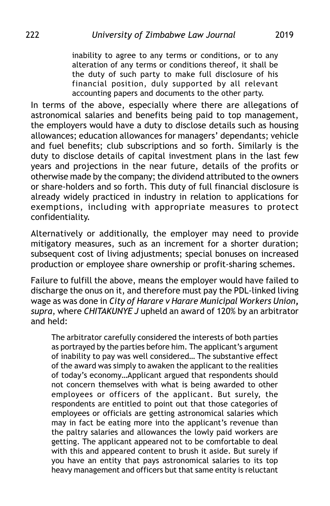inability to agree to any terms or conditions, or to any alteration of any terms or conditions thereof, it shall be the duty of such party to make full disclosure of his financial position, duly supported by all relevant accounting papers and documents to the other party.

In terms of the above, especially where there are allegations of astronomical salaries and benefits being paid to top management, the employers would have a duty to disclose details such as housing allowances; education allowances for managers' dependants; vehicle and fuel benefits; club subscriptions and so forth. Similarly is the duty to disclose details of capital investment plans in the last few years and projections in the near future, details of the profits or otherwise made by the company; the dividend attributed to the owners or share-holders and so forth. This duty of full financial disclosure is already widely practiced in industry in relation to applications for exemptions, including with appropriate measures to protect confidentiality.

Alternatively or additionally, the employer may need to provide mitigatory measures, such as an increment for a shorter duration; subsequent cost of living adjustments; special bonuses on increased production or employee share ownership or profit-sharing schemes.

Failure to fulfill the above, means the employer would have failed to discharge the onus on it, and therefore must pay the PDL-linked living wage as was done in *City of Harare v Harare Municipal Workers Union***,** *supra*, where *CHITAKUNYE J* upheld an award of 120% by an arbitrator and held:

The arbitrator carefully considered the interests of both parties as portrayed by the parties before him. The applicant's argument of inability to pay was well considered… The substantive effect of the award was simply to awaken the applicant to the realities of today's economy…Applicant argued that respondents should not concern themselves with what is being awarded to other employees or officers of the applicant. But surely, the respondents are entitled to point out that those categories of employees or officials are getting astronomical salaries which may in fact be eating more into the applicant's revenue than the paltry salaries and allowances the lowly paid workers are getting. The applicant appeared not to be comfortable to deal with this and appeared content to brush it aside. But surely if you have an entity that pays astronomical salaries to its top heavy management and officers but that same entity is reluctant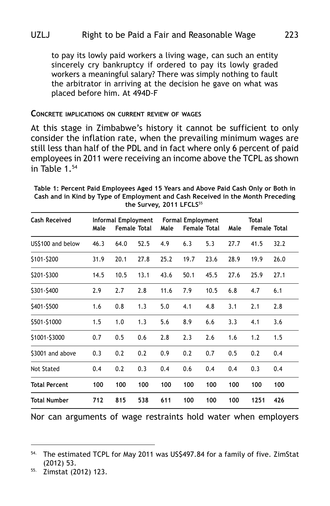to pay its lowly paid workers a living wage, can such an entity sincerely cry bankruptcy if ordered to pay its lowly graded workers a meaningful salary? There was simply nothing to fault the arbitrator in arriving at the decision he gave on what was placed before him. At 494D-F

#### **CONCRETE IMPLICATIONS ON CURRENT REVIEW OF WAGES**

At this stage in Zimbabwe's history it cannot be sufficient to only consider the inflation rate, when the prevailing minimum wages are still less than half of the PDL and in fact where only 6 percent of paid employees in 2011 were receiving an income above the TCPL as shown in Table 1.54

| <b>Cash Received</b> | Male | <b>Informal Employment</b> | <b>Female Total</b> | Male | <b>Formal Employment</b> | <b>Female Total</b> | Male | Total | <b>Female Total</b> |
|----------------------|------|----------------------------|---------------------|------|--------------------------|---------------------|------|-------|---------------------|
| US\$100 and below    | 46.3 | 64.0                       | 52.5                | 4.9  | 6.3                      | 5.3                 | 27.7 | 41.5  | 32.2                |
| \$101-\$200          | 31.9 | 20.1                       | 27.8                | 25.2 | 19.7                     | 23.6                | 28.9 | 19.9  | 26.0                |
| \$201-\$300          | 14.5 | 10.5                       | 13.1                | 43.6 | 50.1                     | 45.5                | 27.6 | 25.9  | 27.1                |
| \$301-\$400          | 2.9  | 2.7                        | 2.8                 | 11.6 | 7.9                      | 10.5                | 6.8  | 4.7   | 6.1                 |
| \$401-\$500          | 1.6  | 0.8                        | 1.3                 | 5.0  | 4.1                      | 4.8                 | 3.1  | 2.1   | 2.8                 |
| \$501-\$1000         | 1.5  | 1.0                        | 1.3                 | 5.6  | 8.9                      | 6.6                 | 3.3  | 4.1   | 3.6                 |
| \$1001-\$3000        | 0.7  | 0.5                        | 0.6                 | 2.8  | 2.3                      | 2.6                 | 1.6  | 1.2   | 1.5                 |
| \$3001 and above     | 0.3  | 0.2                        | 0.2                 | 0.9  | 0.2                      | 0.7                 | 0.5  | 0.2   | 0.4                 |
| Not Stated           | 0.4  | 0.2                        | 0.3                 | 0.4  | 0.6                      | 0.4                 | 0.4  | 0.3   | 0.4                 |
| <b>Total Percent</b> | 100  | 100                        | 100                 | 100  | 100                      | 100                 | 100  | 100   | 100                 |
| <b>Total Number</b>  | 712  | 815                        | 538                 | 611  | 100                      | 100                 | 100  | 1251  | 426                 |

**Table 1: Percent Paid Employees Aged 15 Years and Above Paid Cash Only or Both in Cash and in Kind by Type of Employment and Cash Received in the Month Preceding** the Survey, 2011 LFCLS<sup>55</sup>

Nor can arguments of wage restraints hold water when employers

<sup>&</sup>lt;sup>54.</sup> The estimated TCPL for May 2011 was US\$497.84 for a family of five. ZimStat (2012) 53.

<sup>55.</sup> Zimstat (2012) 123.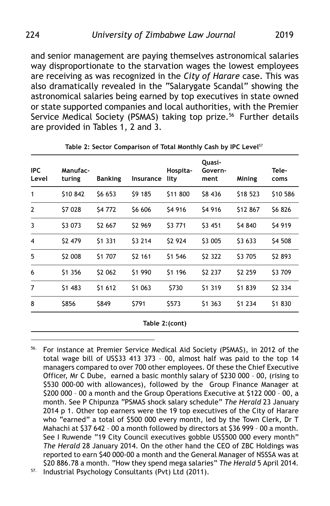and senior management are paying themselves astronomical salaries way disproportionate to the starvation wages the lowest employees are receiving as was recognized in the *City of Harare* case. This was also dramatically revealed in the "Salarygate Scandal" showing the astronomical salaries being earned by top executives in state owned or state supported companies and local authorities, with the Premier Service Medical Society (PSMAS) taking top prize.<sup>56</sup> Further details are provided in Tables 1, 2 and 3.

| <b>IPC</b><br>Level | Manufac-<br>turing | <b>Banking</b> | Insurance | Hospita-<br>lity | Quasi-<br>Govern-<br>ment | Mining   | Tele-<br>coms |
|---------------------|--------------------|----------------|-----------|------------------|---------------------------|----------|---------------|
| 1                   | \$10 842           | \$6 653        | \$9 185   | \$11 800         | \$8 436                   | \$18 523 | \$10 586      |
| $\mathbf{2}$        | \$7 028            | \$4 772        | \$6 606   | \$4 916          | \$4916                    | \$12 867 | \$6826        |
| 3                   | \$3 073            | \$2 667        | \$2 969   | \$3 771          | \$3 451                   | \$4 840  | S4 919        |
| 4                   | \$2 479            | \$1 331        | \$3 214   | \$2 924          | \$3 005                   | \$3 633  | \$4 508       |
| 5                   | \$2 008            | \$1 707        | \$2 161   | \$1 546          | \$2 322                   | \$3 705  | \$2 893       |
| 6                   | \$1 356            | \$2 062        | \$1 990   | \$1 196          | \$2 237                   | \$2 259  | \$3709        |
| 7                   | \$1 483            | \$1 612        | \$1 063   | \$730            | \$1 319                   | \$1839   | \$2 334       |
| 8                   | \$856              | \$849          | \$791     | \$573            | \$1 363                   | \$1 234  | \$1830        |
|                     |                    |                |           | Table 2:(cont)   |                           |          |               |

**Table 2: Sector Comparison of Total Monthly Cash by IPC Level**<sup>57</sup>

56. For instance at Premier Service Medical Aid Society (PSMAS), in 2012 of the total wage bill of US\$33 413 373 – 00, almost half was paid to the top 14 managers compared to over 700 other employees. Of these the Chief Executive Officer, Mr C Dube, earned a basic monthly salary of \$230 000 – 00, (rising to \$530 000-00 with allowances), followed by the Group Finance Manager at \$200 000 – 00 a month and the Group Operations Executive at \$122 000 – 00, a month. See P Chipunza "PSMAS shock salary schedule" *The Herald* 23 January 2014 p 1. Other top earners were the 19 top executives of the City of Harare who "earned" a total of \$500 000 every month, led by the Town Clerk, Dr T Mahachi at \$37 642 – 00 a month followed by directors at \$36 999 – 00 a month. See I Ruwende "19 City Council executives gobble US\$500 000 every month" *The Herald* 28 January 2014. On the other hand the CEO of ZBC Holdings was reported to earn \$40 000-00 a month and the General Manager of NSSSA was at \$20 886.78 a month. "How they spend mega salaries" *The Herald* 5 April 2014.

57. Industrial Psychology Consultants (Pvt) Ltd (2011).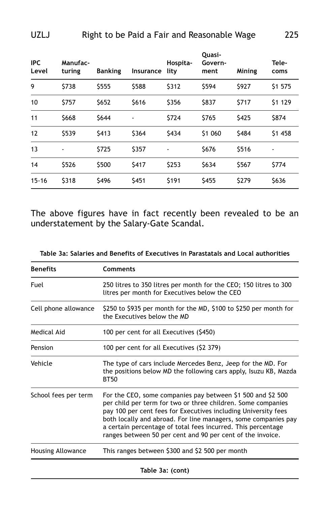| <b>IPC</b><br>Level | Manufac-<br>turing | <b>Banking</b> | Insurance | Hospita-<br>lity | Quasi-<br>Govern-<br>ment | Mining | Tele-<br>coms                |
|---------------------|--------------------|----------------|-----------|------------------|---------------------------|--------|------------------------------|
| 9                   | \$738              | \$555          | \$588     | \$312            | \$594                     | \$927  | \$1 575                      |
| 10                  | \$757              | \$652          | \$616     | \$356            | \$837                     | \$717  | \$1 129                      |
| 11                  | \$668              | \$644          | -         | \$724            | \$765                     | \$425  | \$874                        |
| 12                  | \$539              | \$413          | \$364     | \$434            | \$1 060                   | \$484  | \$1 458                      |
| 13                  | -                  | \$725          | \$357     | $\blacksquare$   | \$676                     | \$516  | $\qquad \qquad \blacksquare$ |
| 14                  | \$526              | \$500          | \$417     | \$253            | \$634                     | \$567  | \$774                        |
| $15 - 16$           | \$318              | \$496          | \$451     | \$191            | \$455                     | \$279  | \$636                        |

The above figures have in fact recently been revealed to be an understatement by the Salary-Gate Scandal.

| Table 3a: Salaries and Benefits of Executives in Parastatals and Local authorities |  |  |
|------------------------------------------------------------------------------------|--|--|
|------------------------------------------------------------------------------------|--|--|

| <b>Benefits</b>      | <b>Comments</b>                                                                                                                                                                                                                                                                                                                                                                               |
|----------------------|-----------------------------------------------------------------------------------------------------------------------------------------------------------------------------------------------------------------------------------------------------------------------------------------------------------------------------------------------------------------------------------------------|
| Fuel                 | 250 litres to 350 litres per month for the CEO; 150 litres to 300<br>litres per month for Executives below the CEO                                                                                                                                                                                                                                                                            |
| Cell phone allowance | \$250 to \$935 per month for the MD, \$100 to \$250 per month for<br>the Executives below the MD                                                                                                                                                                                                                                                                                              |
| Medical Aid          | 100 per cent for all Executives (\$450)                                                                                                                                                                                                                                                                                                                                                       |
| Pension              | 100 per cent for all Executives (\$2 379)                                                                                                                                                                                                                                                                                                                                                     |
| Vehicle              | The type of cars include Mercedes Benz, Jeep for the MD. For<br>the positions below MD the following cars apply, Isuzu KB, Mazda<br><b>BT50</b>                                                                                                                                                                                                                                               |
| School fees per term | For the CEO, some companies pay between \$1 500 and \$2 500<br>per child per term for two or three children. Some companies<br>pay 100 per cent fees for Executives including University fees<br>both locally and abroad. For line managers, some companies pay<br>a certain percentage of total fees incurred. This percentage<br>ranges between 50 per cent and 90 per cent of the invoice. |
| Housing Allowance    | This ranges between \$300 and \$2 500 per month                                                                                                                                                                                                                                                                                                                                               |
|                      | Table 3a: (cont)                                                                                                                                                                                                                                                                                                                                                                              |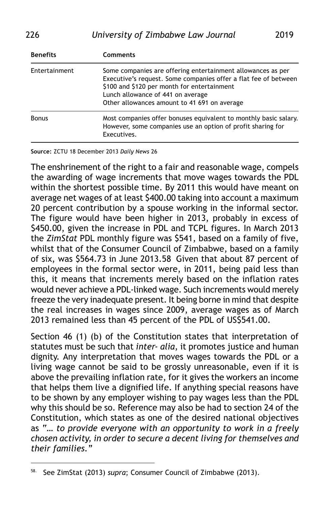| <b>Benefits</b> | Comments                                                                                                                                                                                                                                                           |  |  |  |  |
|-----------------|--------------------------------------------------------------------------------------------------------------------------------------------------------------------------------------------------------------------------------------------------------------------|--|--|--|--|
| Entertainment   | Some companies are offering entertainment allowances as per<br>Executive's request. Some companies offer a flat fee of between<br>\$100 and \$120 per month for entertainment<br>Lunch allowance of 441 on average<br>Other allowances amount to 41 691 on average |  |  |  |  |
| <b>Bonus</b>    | Most companies offer bonuses equivalent to monthly basic salary.<br>However, some companies use an option of profit sharing for<br>Executives.                                                                                                                     |  |  |  |  |

**Source:** ZCTU 18 December 2013 *Daily News* 26

The enshrinement of the right to a fair and reasonable wage, compels the awarding of wage increments that move wages towards the PDL within the shortest possible time. By 2011 this would have meant on average net wages of at least \$400.00 taking into account a maximum 20 percent contribution by a spouse working in the informal sector. The figure would have been higher in 2013, probably in excess of \$450.00, given the increase in PDL and TCPL figures. In March 2013 the *ZimStat* PDL monthly figure was \$541, based on a family of five, whilst that of the Consumer Council of Zimbabwe, based on a family of six, was \$564.73 in June 2013.58 Given that about 87 percent of employees in the formal sector were, in 2011, being paid less than this, it means that increments merely based on the inflation rates would never achieve a PDL-linked wage. Such increments would merely freeze the very inadequate present. It being borne in mind that despite the real increases in wages since 2009, average wages as of March 2013 remained less than 45 percent of the PDL of US\$541.00.

Section 46 (1) (b) of the Constitution states that interpretation of statutes must be such that *inter- alia*, it promotes justice and human dignity. Any interpretation that moves wages towards the PDL or a living wage cannot be said to be grossly unreasonable, even if it is above the prevailing inflation rate, for it gives the workers an income that helps them live a dignified life. If anything special reasons have to be shown by any employer wishing to pay wages less than the PDL why this should be so. Reference may also be had to section 24 of the Constitution, which states as one of the desired national objectives as "… *to provide everyone with an opportunity to work in a freely chosen activity, in order to secure a decent living for themselves and their families."*

<sup>58.</sup> See ZimStat (2013) *supra*; Consumer Council of Zimbabwe (2013).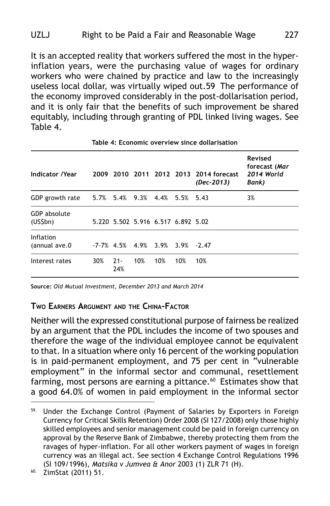It is an accepted reality that workers suffered the most in the hyperinflation years, were the purchasing value of wages for ordinary workers who were chained by practice and law to the increasingly useless local dollar, was virtually wiped out.59 The performance of the economy improved considerably in the post-dollarisation period, and it is only fair that the benefits of such improvement be shared equitably, including through granting of PDL linked living wages. See Table 4.

| <b>Indicator /Year</b>                        |     |                                    |     |     |     | 2009 2010 2011 2012 2013 2014 forecast<br>(Dec-2013) | Revised<br>forecast (Mar<br>2014 World<br>Bank) |
|-----------------------------------------------|-----|------------------------------------|-----|-----|-----|------------------------------------------------------|-------------------------------------------------|
| GDP growth rate 5.7% 5.4% 9.3% 4.4% 5.5% 5.43 |     |                                    |     |     |     |                                                      | 3%                                              |
| GDP absolute<br>(US5bn)                       |     | 5.220 5.502 5.916 6.517 6.892 5.02 |     |     |     |                                                      |                                                 |
| Inflation<br>(annual ave.0)                   |     | $-7.7\%$ 4.5% 4.9% 3.9% 3.9% -2.47 |     |     |     |                                                      |                                                 |
| Interest rates                                | 30% | $21 -$<br>24%                      | 10% | 10% | 10% | 10%                                                  |                                                 |
|                                               |     |                                    |     |     |     |                                                      |                                                 |

**Table 4: Economic overview since dollarisation**

**Source:** *Old Mutual Investment, December 2013 and March 2014*

#### **TWO EARNERS ARGUMENT AND THE CHINA-FACTOR**

Neither will the expressed constitutional purpose of fairness be realized by an argument that the PDL includes the income of two spouses and therefore the wage of the individual employee cannot be equivalent to that. In a situation where only 16 percent of the working population is in paid-permanent employment, and 75 per cent in "vulnerable employment" in the informal sector and communal, resettlement farming, most persons are earning a pittance.<sup>60</sup> Estimates show that a good 64.0% of women in paid employment in the informal sector

<sup>59.</sup> Under the Exchange Control (Payment of Salaries by Exporters in Foreign Currency for Critical Skills Retention) Order 2008 (SI 127/2008) only those highly skilled employees and senior management could be paid in foreign currency on approval by the Reserve Bank of Zimbabwe, thereby protecting them from the ravages of hyper-inflation. For all other workers payment of wages in foreign currency was an illegal act. See section 4 Exchange Control Regulations 1996 (SI 109/1996), *Matsika v Jumvea & Anor* 2003 (1) ZLR 71 (H).

<sup>60.</sup> ZimStat (2011) 51.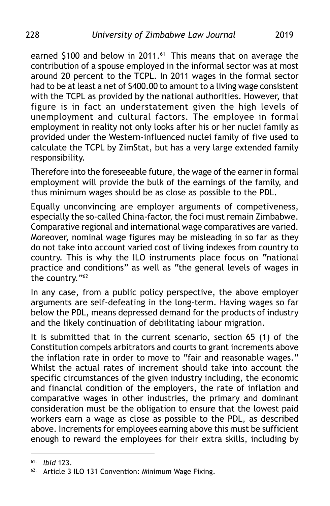earned \$100 and below in 2011.<sup>61</sup> This means that on average the contribution of a spouse employed in the informal sector was at most around 20 percent to the TCPL. In 2011 wages in the formal sector had to be at least a net of \$400.00 to amount to a living wage consistent with the TCPL as provided by the national authorities. However, that figure is in fact an understatement given the high levels of unemployment and cultural factors. The employee in formal employment in reality not only looks after his or her nuclei family as provided under the Western-influenced nuclei family of five used to calculate the TCPL by ZimStat, but has a very large extended family responsibility.

Therefore into the foreseeable future, the wage of the earner in formal employment will provide the bulk of the earnings of the family, and thus minimum wages should be as close as possible to the PDL.

Equally unconvincing are employer arguments of competiveness, especially the so-called China-factor, the foci must remain Zimbabwe. Comparative regional and international wage comparatives are varied. Moreover, nominal wage figures may be misleading in so far as they do not take into account varied cost of living indexes from country to country. This is why the ILO instruments place focus on "national practice and conditions" as well as "the general levels of wages in the country."62

In any case, from a public policy perspective, the above employer arguments are self-defeating in the long-term. Having wages so far below the PDL, means depressed demand for the products of industry and the likely continuation of debilitating labour migration.

It is submitted that in the current scenario, section 65 (1) of the Constitution compels arbitrators and courts to grant increments above the inflation rate in order to move to "fair and reasonable wages." Whilst the actual rates of increment should take into account the specific circumstances of the given industry including, the economic and financial condition of the employers, the rate of inflation and comparative wages in other industries, the primary and dominant consideration must be the obligation to ensure that the lowest paid workers earn a wage as close as possible to the PDL, as described above. Increments for employees earning above this must be sufficient enough to reward the employees for their extra skills, including by

<sup>61.</sup> *Ibid* 123.

<sup>62.</sup> Article 3 ILO 131 Convention: Minimum Wage Fixing.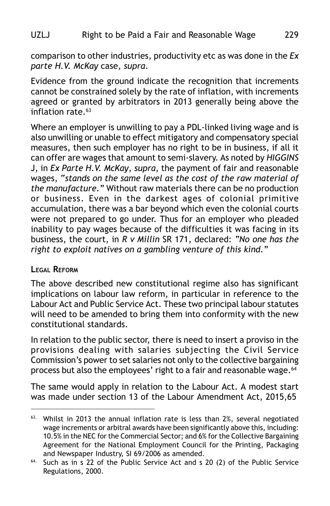comparison to other industries, productivity etc as was done in the *Ex parte H.V. McKay* case, *supra*.

Evidence from the ground indicate the recognition that increments cannot be constrained solely by the rate of inflation, with increments agreed or granted by arbitrators in 2013 generally being above the inflation rate  $63$ 

Where an employer is unwilling to pay a PDL-linked living wage and is also unwilling or unable to effect mitigatory and compensatory special measures, then such employer has no right to be in business, if all it can offer are wages that amount to semi-slavery. As noted by *HIGGINS* J, in *Ex Parte H.V. McKay*, *supra*, the payment of fair and reasonable wages, "*stands on the same level as the cost of the raw material of the manufacture."* Without raw materials there can be no production or business. Even in the darkest ages of colonial primitive accumulation, there was a bar beyond which even the colonial courts were not prepared to go under. Thus for an employer who pleaded inability to pay wages because of the difficulties it was facing in its business, the court, in *R v Millin* SR 171, declared: *"No one has the right to exploit natives on a gambling venture of this kind."*

#### **LEGAL REFORM**

The above described new constitutional regime also has significant implications on labour law reform, in particular in reference to the Labour Act and Public Service Act. These two principal labour statutes will need to be amended to bring them into conformity with the new constitutional standards.

In relation to the public sector, there is need to insert a proviso in the provisions dealing with salaries subjecting the Civil Service Commission's power to set salaries not only to the collective bargaining process but also the employees' right to a fair and reasonable wage.<sup>64</sup>

The same would apply in relation to the Labour Act. A modest start was made under section 13 of the Labour Amendment Act, 2015,65

<sup>63.</sup> Whilst in 2013 the annual inflation rate is less than 2%, several negotiated wage increments or arbitral awards have been significantly above this, including: 10.5% in the NEC for the Commercial Sector; and 6% for the Collective Bargaining Agreement for the National Employment Council for the Printing, Packaging and Newspaper Industry, SI 69/2006 as amended.

<sup>&</sup>lt;sup>64.</sup> Such as in s 22 of the Public Service Act and s 20 (2) of the Public Service Regulations, 2000.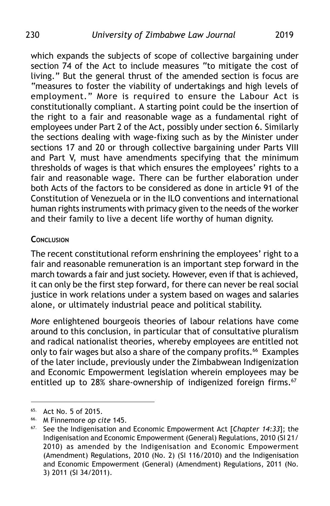which expands the subjects of scope of collective bargaining under section 74 of the Act to include measures "to mitigate the cost of living." But the general thrust of the amended section is focus are "measures to foster the viability of undertakings and high levels of employment." More is required to ensure the Labour Act is constitutionally compliant. A starting point could be the insertion of the right to a fair and reasonable wage as a fundamental right of employees under Part 2 of the Act, possibly under section 6. Similarly the sections dealing with wage-fixing such as by the Minister under sections 17 and 20 or through collective bargaining under Parts VIII and Part V, must have amendments specifying that the minimum thresholds of wages is that which ensures the employees' rights to a fair and reasonable wage. There can be further elaboration under both Acts of the factors to be considered as done in article 91 of the Constitution of Venezuela or in the ILO conventions and international human rights instruments with primacy given to the needs of the worker and their family to live a decent life worthy of human dignity.

#### **CONCLUSION**

The recent constitutional reform enshrining the employees' right to a fair and reasonable remuneration is an important step forward in the march towards a fair and just society. However, even if that is achieved, it can only be the first step forward, for there can never be real social justice in work relations under a system based on wages and salaries alone, or ultimately industrial peace and political stability.

More enlightened bourgeois theories of labour relations have come around to this conclusion, in particular that of consultative pluralism and radical nationalist theories, whereby employees are entitled not only to fair wages but also a share of the company profits.<sup>66</sup> Examples of the later include, previously under the Zimbabwean Indigenization and Economic Empowerment legislation wherein employees may be entitled up to 28% share-ownership of indigenized foreign firms.<sup>67</sup>

<sup>65.</sup> Act No. 5 of 2015.

<sup>66.</sup> M Finnemore *op cite* 145.

<sup>67.</sup> See the Indigenisation and Economic Empowerment Act [*Chapter 14:33*]; the Indigenisation and Economic Empowerment (General) Regulations, 2010 (SI 21/ 2010) as amended by the Indigenisation and Economic Empowerment (Amendment) Regulations, 2010 (No. 2) (SI 116/2010) and the Indigenisation and Economic Empowerment (General) (Amendment) Regulations, 2011 (No. 3) 2011 (SI 34/2011).